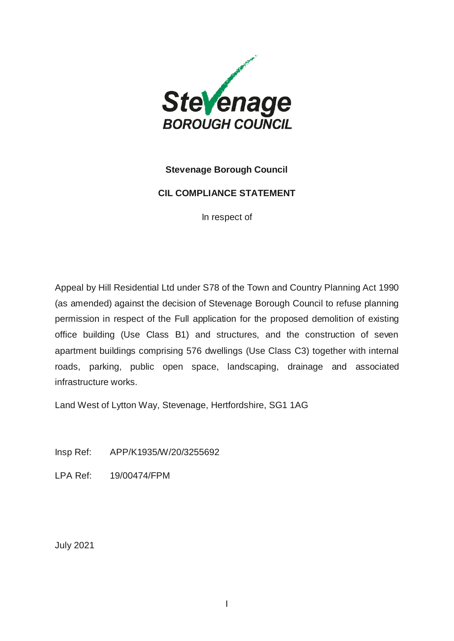

## **Stevenage Borough Council**

#### **CIL COMPLIANCE STATEMENT**

In respect of

Appeal by Hill Residential Ltd under S78 of the Town and Country Planning Act 1990 (as amended) against the decision of Stevenage Borough Council to refuse planning permission in respect of the Full application for the proposed demolition of existing office building (Use Class B1) and structures, and the construction of seven apartment buildings comprising 576 dwellings (Use Class C3) together with internal roads, parking, public open space, landscaping, drainage and associated infrastructure works.

Land West of Lytton Way, Stevenage, Hertfordshire, SG1 1AG

Insp Ref: APP/K1935/W/20/3255692

LPA Ref: 19/00474/FPM

July 2021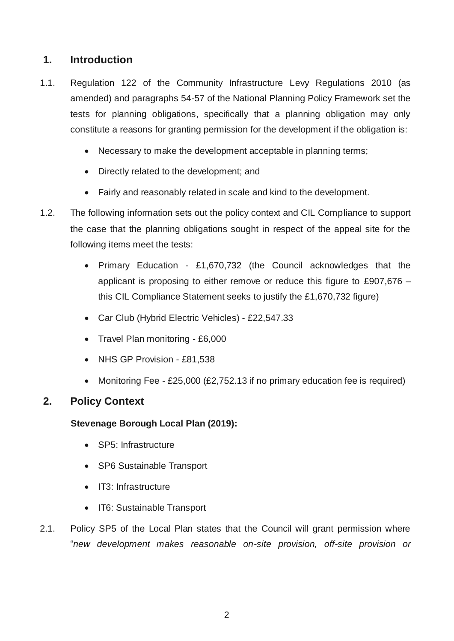# **1. Introduction**

- 1.1. Regulation 122 of the Community Infrastructure Levy Regulations 2010 (as amended) and paragraphs 54-57 of the National Planning Policy Framework set the tests for planning obligations, specifically that a planning obligation may only constitute a reasons for granting permission for the development if the obligation is:
	- Necessary to make the development acceptable in planning terms;
	- Directly related to the development; and
	- Fairly and reasonably related in scale and kind to the development.
- 1.2. The following information sets out the policy context and CIL Compliance to support the case that the planning obligations sought in respect of the appeal site for the following items meet the tests:
	- Primary Education £1,670,732 (the Council acknowledges that the applicant is proposing to either remove or reduce this figure to £907.676  $$ this CIL Compliance Statement seeks to justify the £1,670,732 figure)
	- Car Club (Hybrid Electric Vehicles) £22,547.33
	- Travel Plan monitoring £6,000
	- NHS GP Provision £81,538
	- Monitoring Fee £25,000 (£2,752.13 if no primary education fee is required)

# **2. Policy Context**

## **Stevenage Borough Local Plan (2019):**

- SP5: Infrastructure
- SP6 Sustainable Transport
- IT3: Infrastructure
- IT6: Sustainable Transport
- 2.1. Policy SP5 of the Local Plan states that the Council will grant permission where "*new development makes reasonable on-site provision, off-site provision or*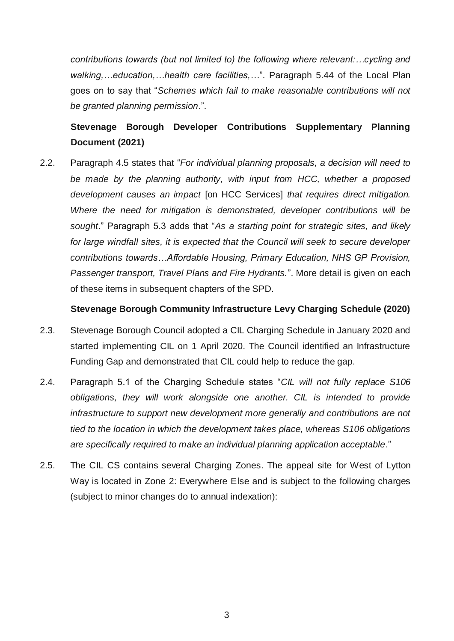*contributions towards (but not limited to) the following where relevant:…cycling and walking,…education,…health care facilities,…*". Paragraph 5.44 of the Local Plan goes on to say that "*Schemes which fail to make reasonable contributions will not be granted planning permission*.".

# **Stevenage Borough Developer Contributions Supplementary Planning Document (2021)**

2.2. Paragraph 4.5 states that "*For individual planning proposals, a decision will need to be made by the planning authority, with input from HCC, whether a proposed development causes an impact* [on HCC Services] *that requires direct mitigation. Where the need for mitigation is demonstrated, developer contributions will be sought*." Paragraph 5.3 adds that "*As a starting point for strategic sites, and likely*  for large windfall sites, it is expected that the Council will seek to secure developer *contributions towards…Affordable Housing, Primary Education, NHS GP Provision, Passenger transport, Travel Plans and Fire Hydrants.*". More detail is given on each of these items in subsequent chapters of the SPD.

### **Stevenage Borough Community Infrastructure Levy Charging Schedule (2020)**

- 2.3. Stevenage Borough Council adopted a CIL Charging Schedule in January 2020 and started implementing CIL on 1 April 2020. The Council identified an Infrastructure Funding Gap and demonstrated that CIL could help to reduce the gap.
- 2.4. Paragraph 5.1 of the Charging Schedule states "*CIL will not fully replace S106 obligations, they will work alongside one another. CIL is intended to provide infrastructure to support new development more generally and contributions are not tied to the location in which the development takes place, whereas S106 obligations are specifically required to make an individual planning application acceptable*."
- 2.5. The CIL CS contains several Charging Zones. The appeal site for West of Lytton Way is located in Zone 2: Everywhere Else and is subject to the following charges (subject to minor changes do to annual indexation):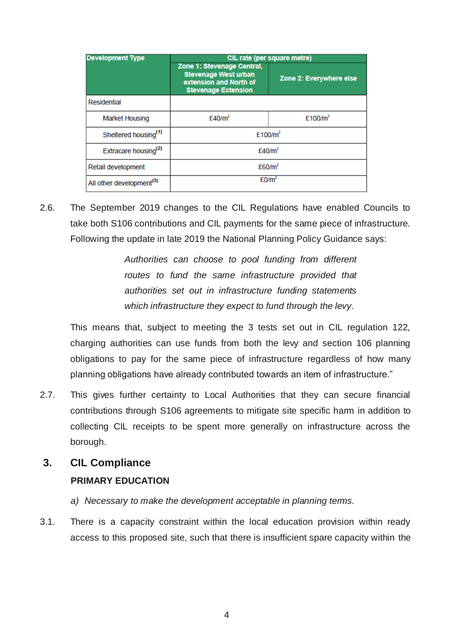| <b>Development Type</b>              | CIL rate (per square metre)                                                                                       |                         |  |  |
|--------------------------------------|-------------------------------------------------------------------------------------------------------------------|-------------------------|--|--|
|                                      | Zone 1: Stevenage Central,<br><b>Stevenage West urban</b><br>extension and North of<br><b>Stevenage Extension</b> | Zone 2: Everywhere else |  |  |
| Residential                          |                                                                                                                   |                         |  |  |
| <b>Market Housing</b>                | £40/m <sup>2</sup>                                                                                                | £100/ $m2$              |  |  |
| Sheltered housing <sup>(1)</sup>     | £100/ $m2$                                                                                                        |                         |  |  |
| Extracare housing <sup>(2)</sup>     | £40/m <sup>2</sup>                                                                                                |                         |  |  |
| Retail development                   | £60/m²                                                                                                            |                         |  |  |
| All other development <sup>(3)</sup> | £0/m <sup>2</sup>                                                                                                 |                         |  |  |

2.6. The September 2019 changes to the CIL Regulations have enabled Councils to take both S106 contributions and CIL payments for the same piece of infrastructure. Following the update in late 2019 the National Planning Policy Guidance says:

> *Authorities can choose to pool funding from different routes to fund the same infrastructure provided that authorities set out in infrastructure funding statements which infrastructure they expect to fund through the levy.*

This means that, subject to meeting the 3 tests set out in CIL regulation 122, charging authorities can use funds from both the levy and section 106 planning obligations to pay for the same piece of infrastructure regardless of how many planning obligations have already contributed towards an item of infrastructure."

2.7. This gives further certainty to Local Authorities that they can secure financial contributions through S106 agreements to mitigate site specific harm in addition to collecting CIL receipts to be spent more generally on infrastructure across the borough.

# **3. CIL Compliance**

# **PRIMARY EDUCATION**

- *a) Necessary to make the development acceptable in planning terms.*
- 3.1. There is a capacity constraint within the local education provision within ready access to this proposed site, such that there is insufficient spare capacity within the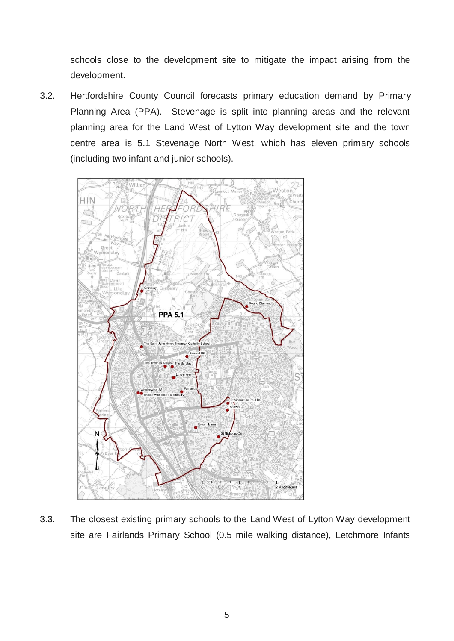schools close to the development site to mitigate the impact arising from the development.

3.2. Hertfordshire County Council forecasts primary education demand by Primary Planning Area (PPA). Stevenage is split into planning areas and the relevant planning area for the Land West of Lytton Way development site and the town centre area is 5.1 Stevenage North West, which has eleven primary schools (including two infant and junior schools).



3.3. The closest existing primary schools to the Land West of Lytton Way development site are Fairlands Primary School (0.5 mile walking distance), Letchmore Infants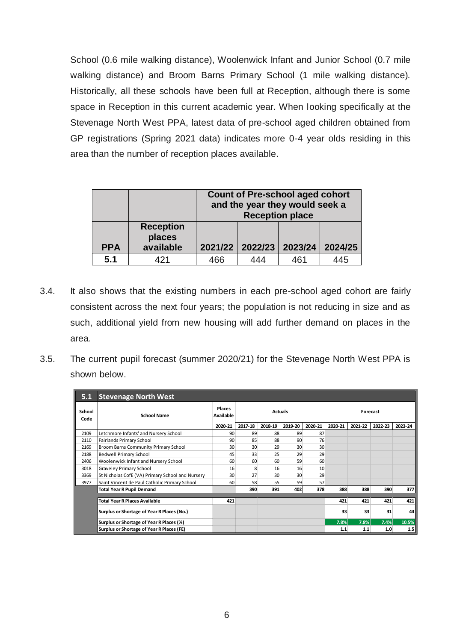School (0.6 mile walking distance), Woolenwick Infant and Junior School (0.7 mile walking distance) and Broom Barns Primary School (1 mile walking distance). Historically, all these schools have been full at Reception, although there is some space in Reception in this current academic year. When looking specifically at the Stevenage North West PPA, latest data of pre-school aged children obtained from GP registrations (Spring 2021 data) indicates more 0-4 year olds residing in this area than the number of reception places available.

|            |                                         | <b>Count of Pre-school aged cohort</b><br>and the year they would seek a<br><b>Reception place</b> |                 |         |         |
|------------|-----------------------------------------|----------------------------------------------------------------------------------------------------|-----------------|---------|---------|
| <b>PPA</b> | <b>Reception</b><br>places<br>available |                                                                                                    | 2021/22 2022/23 | 2023/24 | 2024/25 |
| 5.1        | 421                                     | 466                                                                                                | 444             | 461     | 445     |

- 3.4. It also shows that the existing numbers in each pre-school aged cohort are fairly consistent across the next four years; the population is not reducing in size and as such, additional yield from new housing will add further demand on places in the area.
- 3.5. The current pupil forecast (summer 2020/21) for the Stevenage North West PPA is shown below.

| 5.1            | <b>Stevenage North West</b>                      |                                       |                 |         |                 |         |         |         |         |         |
|----------------|--------------------------------------------------|---------------------------------------|-----------------|---------|-----------------|---------|---------|---------|---------|---------|
| School<br>Code | <b>School Name</b>                               | Places<br><b>Actuals</b><br>Available |                 |         | Forecast        |         |         |         |         |         |
|                |                                                  | 2020-21                               | 2017-18         | 2018-19 | 2019-20         | 2020-21 | 2020-21 | 2021-22 | 2022-23 | 2023-24 |
| 2109           | Letchmore Infants' and Nursery School            | 90                                    | 89              | 88      | 89              | 87      |         |         |         |         |
| 2110           | Fairlands Primary School                         | 90                                    | 85              | 88      | 90              | 76      |         |         |         |         |
| 2169           | Broom Barns Community Primary School             | 30                                    | 30 <sup>2</sup> | 29      | 30 <sup>1</sup> | 30      |         |         |         |         |
| 2188           | Bedwell Primary School                           | 45                                    | 33              | 25      | 29              | 29      |         |         |         |         |
| 2406           | Woolenwick Infant and Nursery School             | 60                                    | 60              | 60      | 59              | 60      |         |         |         |         |
| 3018           | <b>Graveley Primary School</b>                   | 16                                    | 8               | 16      | 16              | 10      |         |         |         |         |
| 3369           | St Nicholas CofE (VA) Primary School and Nursery | 30                                    | 27              | 30      | 30              | 29      |         |         |         |         |
| 3977           | Saint Vincent de Paul Catholic Primary School    | 60                                    | 58              | 55      | 59              | 57      |         |         |         |         |
|                | <b>Total Year R Pupil Demand</b>                 |                                       | 390             | 391     | 402             | 378     | 388     | 388     | 390     | 377     |
|                |                                                  |                                       |                 |         |                 |         |         |         |         |         |
|                | <b>Total Year R Places Available</b>             | 421                                   |                 |         |                 |         | 421     | 421     | 421     | 421     |
|                | Surplus or Shortage of Year R Places (No.)       |                                       |                 |         |                 |         | 33      | 33      | 31      | 44      |
|                | Surplus or Shortage of Year R Places (%)         |                                       |                 |         |                 |         | 7.8%    | 7.8%    | 7.4%    | 10.5%   |
|                | Surplus or Shortage of Year R Places (FE)        |                                       |                 |         |                 |         | 1.1     | 1.1     | 1.0     | 1.5     |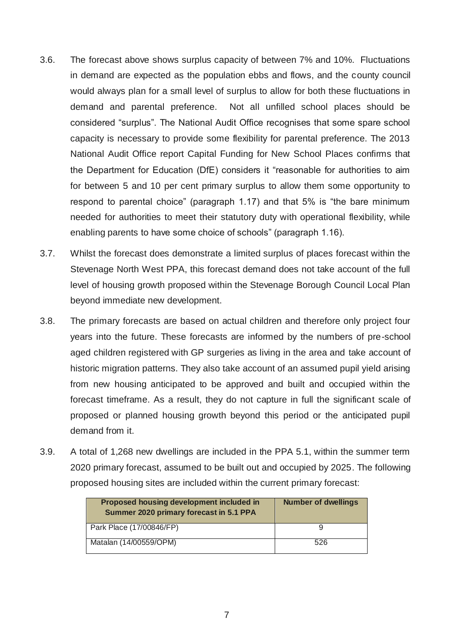- 3.6. The forecast above shows surplus capacity of between 7% and 10%. Fluctuations in demand are expected as the population ebbs and flows, and the county council would always plan for a small level of surplus to allow for both these fluctuations in demand and parental preference. Not all unfilled school places should be considered "surplus". The National Audit Office recognises that some spare school capacity is necessary to provide some flexibility for parental preference. The 2013 National Audit Office report Capital Funding for New School Places confirms that the Department for Education (DfE) considers it "reasonable for authorities to aim for between 5 and 10 per cent primary surplus to allow them some opportunity to respond to parental choice" (paragraph 1.17) and that 5% is "the bare minimum needed for authorities to meet their statutory duty with operational flexibility, while enabling parents to have some choice of schools" (paragraph 1.16).
- 3.7. Whilst the forecast does demonstrate a limited surplus of places forecast within the Stevenage North West PPA, this forecast demand does not take account of the full level of housing growth proposed within the Stevenage Borough Council Local Plan beyond immediate new development.
- 3.8. The primary forecasts are based on actual children and therefore only project four years into the future. These forecasts are informed by the numbers of pre-school aged children registered with GP surgeries as living in the area and take account of historic migration patterns. They also take account of an assumed pupil yield arising from new housing anticipated to be approved and built and occupied within the forecast timeframe. As a result, they do not capture in full the significant scale of proposed or planned housing growth beyond this period or the anticipated pupil demand from it.
- 3.9. A total of 1,268 new dwellings are included in the PPA 5.1, within the summer term 2020 primary forecast, assumed to be built out and occupied by 2025. The following proposed housing sites are included within the current primary forecast:

| Proposed housing development included in<br>Summer 2020 primary forecast in 5.1 PPA | <b>Number of dwellings</b> |
|-------------------------------------------------------------------------------------|----------------------------|
| Park Place (17/00846/FP)                                                            |                            |
| Matalan (14/00559/OPM)                                                              | 526                        |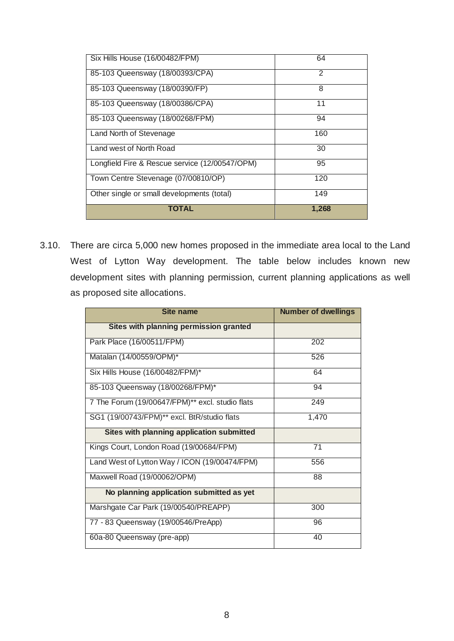| Six Hills House (16/00482/FPM)                 | 64    |
|------------------------------------------------|-------|
| 85-103 Queensway (18/00393/CPA)                | 2     |
| 85-103 Queensway (18/00390/FP)                 | 8     |
| 85-103 Queensway (18/00386/CPA)                | 11    |
| 85-103 Queensway (18/00268/FPM)                | 94    |
| Land North of Stevenage                        | 160   |
| Land west of North Road                        | 30    |
| Longfield Fire & Rescue service (12/00547/OPM) | 95    |
| Town Centre Stevenage (07/00810/OP)            | 120   |
| Other single or small developments (total)     | 149   |
| <b>TOTAL</b>                                   | 1,268 |

3.10. There are circa 5,000 new homes proposed in the immediate area local to the Land West of Lytton Way development. The table below includes known new development sites with planning permission, current planning applications as well as proposed site allocations.

| <b>Site name</b>                                        | <b>Number of dwellings</b> |
|---------------------------------------------------------|----------------------------|
| Sites with planning permission granted                  |                            |
| Park Place (16/00511/FPM)                               | 202                        |
| Matalan (14/00559/OPM)*                                 | 526                        |
| Six Hills House (16/00482/FPM)*                         | 64                         |
| 85-103 Queensway (18/00268/FPM)*                        | 94                         |
| 7 The Forum (19/00647/FPM)** excl. studio flats         | 249                        |
| SG1 (19/00743/FPM) <sup>**</sup> excl. BtR/studio flats | 1,470                      |
| Sites with planning application submitted               |                            |
| Kings Court, London Road (19/00684/FPM)                 | 71                         |
| Land West of Lytton Way / ICON (19/00474/FPM)           | 556                        |
| Maxwell Road (19/00062/OPM)                             | 88                         |
| No planning application submitted as yet                |                            |
| Marshgate Car Park (19/00540/PREAPP)                    | 300                        |
| 77 - 83 Queensway (19/00546/PreApp)                     | 96                         |
| 60a-80 Queensway (pre-app)                              | 40                         |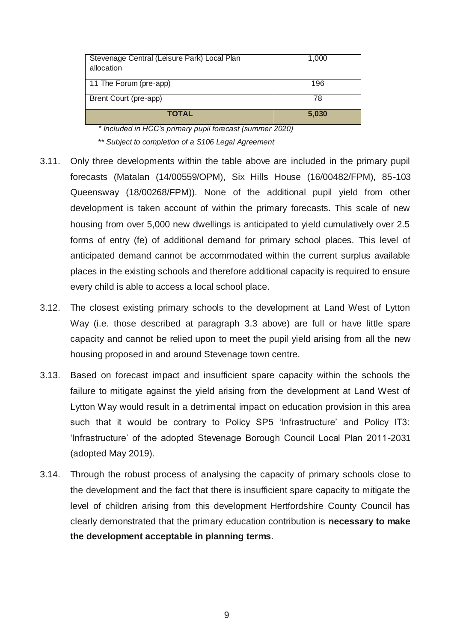| Stevenage Central (Leisure Park) Local Plan<br>allocation | 1,000 |
|-----------------------------------------------------------|-------|
| 11 The Forum (pre-app)                                    | 196   |
| Brent Court (pre-app)                                     | 78    |
| <b>TOTAL</b>                                              | 5,030 |

*\* Included in HCC's primary pupil forecast (summer 2020)*

\**\* Subject to completion of a S106 Legal Agreement*

- 3.11. Only three developments within the table above are included in the primary pupil forecasts (Matalan (14/00559/OPM), Six Hills House (16/00482/FPM), 85-103 Queensway (18/00268/FPM)). None of the additional pupil yield from other development is taken account of within the primary forecasts. This scale of new housing from over 5,000 new dwellings is anticipated to yield cumulatively over 2.5 forms of entry (fe) of additional demand for primary school places. This level of anticipated demand cannot be accommodated within the current surplus available places in the existing schools and therefore additional capacity is required to ensure every child is able to access a local school place.
- 3.12. The closest existing primary schools to the development at Land West of Lytton Way (i.e. those described at paragraph 3.3 above) are full or have little spare capacity and cannot be relied upon to meet the pupil yield arising from all the new housing proposed in and around Stevenage town centre.
- 3.13. Based on forecast impact and insufficient spare capacity within the schools the failure to mitigate against the yield arising from the development at Land West of Lytton Way would result in a detrimental impact on education provision in this area such that it would be contrary to Policy SP5 'Infrastructure' and Policy IT3: 'Infrastructure' of the adopted Stevenage Borough Council Local Plan 2011-2031 (adopted May 2019).
- 3.14. Through the robust process of analysing the capacity of primary schools close to the development and the fact that there is insufficient spare capacity to mitigate the level of children arising from this development Hertfordshire County Council has clearly demonstrated that the primary education contribution is **necessary to make the development acceptable in planning terms**.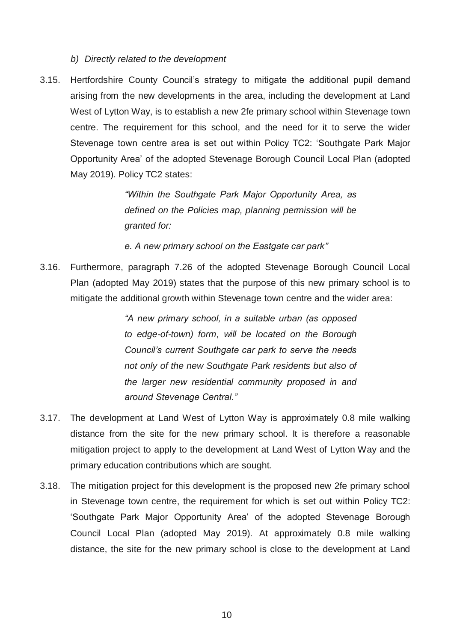*b) Directly related to the development*

3.15. Hertfordshire County Council's strategy to mitigate the additional pupil demand arising from the new developments in the area, including the development at Land West of Lytton Way, is to establish a new 2fe primary school within Stevenage town centre. The requirement for this school, and the need for it to serve the wider Stevenage town centre area is set out within Policy TC2: 'Southgate Park Major Opportunity Area' of the adopted Stevenage Borough Council Local Plan (adopted May 2019). Policy TC2 states:

> *"Within the Southgate Park Major Opportunity Area, as defined on the Policies map, planning permission will be granted for:*

*e. A new primary school on the Eastgate car park"*

3.16. Furthermore, paragraph 7.26 of the adopted Stevenage Borough Council Local Plan (adopted May 2019) states that the purpose of this new primary school is to mitigate the additional growth within Stevenage town centre and the wider area:

> *"A new primary school, in a suitable urban (as opposed to edge-of-town) form, will be located on the Borough Council's current Southgate car park to serve the needs not only of the new Southgate Park residents but also of the larger new residential community proposed in and around Stevenage Central."*

- 3.17. The development at Land West of Lytton Way is approximately 0.8 mile walking distance from the site for the new primary school. It is therefore a reasonable mitigation project to apply to the development at Land West of Lytton Way and the primary education contributions which are sought.
- 3.18. The mitigation project for this development is the proposed new 2fe primary school in Stevenage town centre, the requirement for which is set out within Policy TC2: 'Southgate Park Major Opportunity Area' of the adopted Stevenage Borough Council Local Plan (adopted May 2019). At approximately 0.8 mile walking distance, the site for the new primary school is close to the development at Land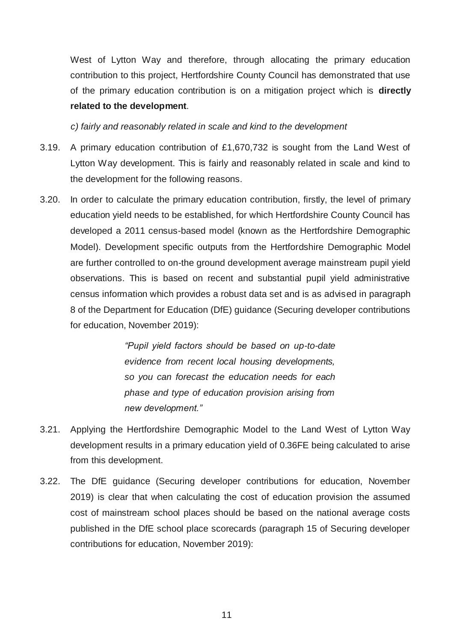West of Lytton Way and therefore, through allocating the primary education contribution to this project, Hertfordshire County Council has demonstrated that use of the primary education contribution is on a mitigation project which is **directly related to the development**.

*c) fairly and reasonably related in scale and kind to the development*

- 3.19. A primary education contribution of £1,670,732 is sought from the Land West of Lytton Way development. This is fairly and reasonably related in scale and kind to the development for the following reasons.
- 3.20. In order to calculate the primary education contribution, firstly, the level of primary education yield needs to be established, for which Hertfordshire County Council has developed a 2011 census-based model (known as the Hertfordshire Demographic Model). Development specific outputs from the Hertfordshire Demographic Model are further controlled to on-the ground development average mainstream pupil yield observations. This is based on recent and substantial pupil yield administrative census information which provides a robust data set and is as advised in paragraph 8 of the Department for Education (DfE) guidance (Securing developer contributions for education, November 2019):

*"Pupil yield factors should be based on up-to-date evidence from recent local housing developments, so you can forecast the education needs for each phase and type of education provision arising from new development."*

- 3.21. Applying the Hertfordshire Demographic Model to the Land West of Lytton Way development results in a primary education yield of 0.36FE being calculated to arise from this development.
- 3.22. The DfE guidance (Securing developer contributions for education, November 2019) is clear that when calculating the cost of education provision the assumed cost of mainstream school places should be based on the national average costs published in the DfE school place scorecards (paragraph 15 of Securing developer contributions for education, November 2019):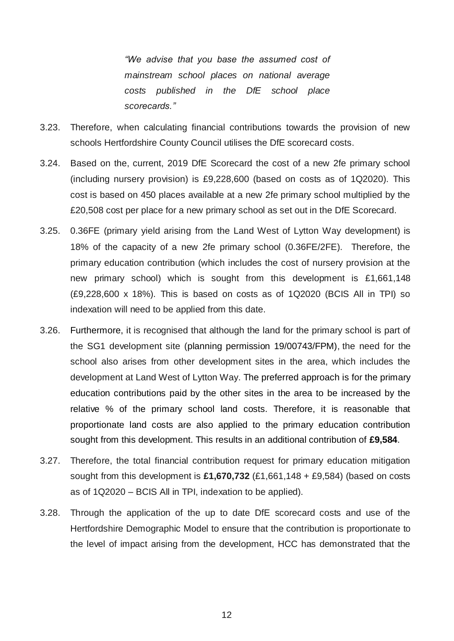*"We advise that you base the assumed cost of mainstream school places on national average costs published in the DfE school place scorecards."*

- 3.23. Therefore, when calculating financial contributions towards the provision of new schools Hertfordshire County Council utilises the DfE scorecard costs.
- 3.24. Based on the, current, 2019 DfE Scorecard the cost of a new 2fe primary school (including nursery provision) is £9,228,600 (based on costs as of 1Q2020). This cost is based on 450 places available at a new 2fe primary school multiplied by the £20,508 cost per place for a new primary school as set out in the DfE Scorecard.
- 3.25. 0.36FE (primary yield arising from the Land West of Lytton Way development) is 18% of the capacity of a new 2fe primary school (0.36FE/2FE). Therefore, the primary education contribution (which includes the cost of nursery provision at the new primary school) which is sought from this development is £1,661,148 (£9,228,600 x 18%). This is based on costs as of 1Q2020 (BCIS All in TPI) so indexation will need to be applied from this date.
- 3.26. Furthermore, it is recognised that although the land for the primary school is part of the SG1 development site (planning permission 19/00743/FPM), the need for the school also arises from other development sites in the area, which includes the development at Land West of Lytton Way. The preferred approach is for the primary education contributions paid by the other sites in the area to be increased by the relative % of the primary school land costs. Therefore, it is reasonable that proportionate land costs are also applied to the primary education contribution sought from this development. This results in an additional contribution of **£9,584**.
- 3.27. Therefore, the total financial contribution request for primary education mitigation sought from this development is **£1,670,732** (£1,661,148 + £9,584) (based on costs as of 1Q2020 – BCIS All in TPI, indexation to be applied).
- 3.28. Through the application of the up to date DfE scorecard costs and use of the Hertfordshire Demographic Model to ensure that the contribution is proportionate to the level of impact arising from the development, HCC has demonstrated that the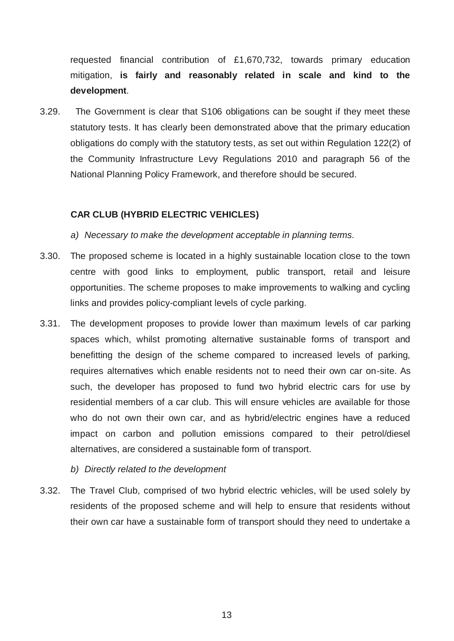requested financial contribution of £1,670,732, towards primary education mitigation, **is fairly and reasonably related in scale and kind to the development**.

3.29. The Government is clear that S106 obligations can be sought if they meet these statutory tests. It has clearly been demonstrated above that the primary education obligations do comply with the statutory tests, as set out within Regulation 122(2) of the Community Infrastructure Levy Regulations 2010 and paragraph 56 of the National Planning Policy Framework, and therefore should be secured.

## **CAR CLUB (HYBRID ELECTRIC VEHICLES)**

- *a) Necessary to make the development acceptable in planning terms.*
- 3.30. The proposed scheme is located in a highly sustainable location close to the town centre with good links to employment, public transport, retail and leisure opportunities. The scheme proposes to make improvements to walking and cycling links and provides policy-compliant levels of cycle parking.
- 3.31. The development proposes to provide lower than maximum levels of car parking spaces which, whilst promoting alternative sustainable forms of transport and benefitting the design of the scheme compared to increased levels of parking, requires alternatives which enable residents not to need their own car on-site. As such, the developer has proposed to fund two hybrid electric cars for use by residential members of a car club. This will ensure vehicles are available for those who do not own their own car, and as hybrid/electric engines have a reduced impact on carbon and pollution emissions compared to their petrol/diesel alternatives, are considered a sustainable form of transport.
	- *b) Directly related to the development*
- 3.32. The Travel Club, comprised of two hybrid electric vehicles, will be used solely by residents of the proposed scheme and will help to ensure that residents without their own car have a sustainable form of transport should they need to undertake a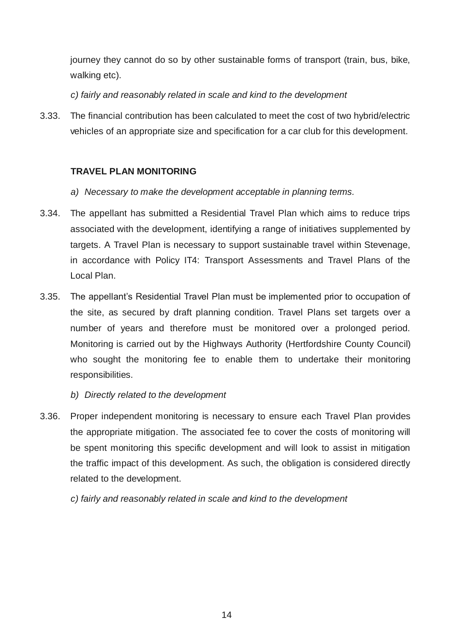journey they cannot do so by other sustainable forms of transport (train, bus, bike, walking etc).

*c) fairly and reasonably related in scale and kind to the development*

3.33. The financial contribution has been calculated to meet the cost of two hybrid/electric vehicles of an appropriate size and specification for a car club for this development.

# **TRAVEL PLAN MONITORING**

- *a) Necessary to make the development acceptable in planning terms.*
- 3.34. The appellant has submitted a Residential Travel Plan which aims to reduce trips associated with the development, identifying a range of initiatives supplemented by targets. A Travel Plan is necessary to support sustainable travel within Stevenage, in accordance with Policy IT4: Transport Assessments and Travel Plans of the Local Plan.
- 3.35. The appellant's Residential Travel Plan must be implemented prior to occupation of the site, as secured by draft planning condition. Travel Plans set targets over a number of years and therefore must be monitored over a prolonged period. Monitoring is carried out by the Highways Authority (Hertfordshire County Council) who sought the monitoring fee to enable them to undertake their monitoring responsibilities.
	- *b) Directly related to the development*
- 3.36. Proper independent monitoring is necessary to ensure each Travel Plan provides the appropriate mitigation. The associated fee to cover the costs of monitoring will be spent monitoring this specific development and will look to assist in mitigation the traffic impact of this development. As such, the obligation is considered directly related to the development.

*c) fairly and reasonably related in scale and kind to the development*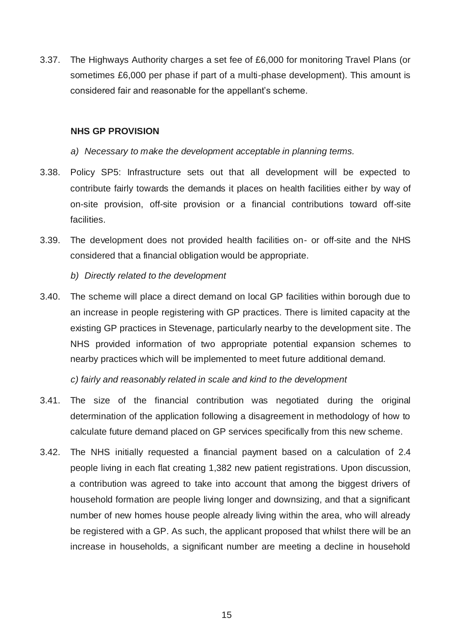3.37. The Highways Authority charges a set fee of £6,000 for monitoring Travel Plans (or sometimes £6,000 per phase if part of a multi-phase development). This amount is considered fair and reasonable for the appellant's scheme.

#### **NHS GP PROVISION**

- *a) Necessary to make the development acceptable in planning terms.*
- 3.38. Policy SP5: Infrastructure sets out that all development will be expected to contribute fairly towards the demands it places on health facilities either by way of on-site provision, off-site provision or a financial contributions toward off-site facilities.
- 3.39. The development does not provided health facilities on- or off-site and the NHS considered that a financial obligation would be appropriate.
	- *b) Directly related to the development*
- 3.40. The scheme will place a direct demand on local GP facilities within borough due to an increase in people registering with GP practices. There is limited capacity at the existing GP practices in Stevenage, particularly nearby to the development site. The NHS provided information of two appropriate potential expansion schemes to nearby practices which will be implemented to meet future additional demand.

*c) fairly and reasonably related in scale and kind to the development*

- 3.41. The size of the financial contribution was negotiated during the original determination of the application following a disagreement in methodology of how to calculate future demand placed on GP services specifically from this new scheme.
- 3.42. The NHS initially requested a financial payment based on a calculation of 2.4 people living in each flat creating 1,382 new patient registrations. Upon discussion, a contribution was agreed to take into account that among the biggest drivers of household formation are people living longer and downsizing, and that a significant number of new homes house people already living within the area, who will already be registered with a GP. As such, the applicant proposed that whilst there will be an increase in households, a significant number are meeting a decline in household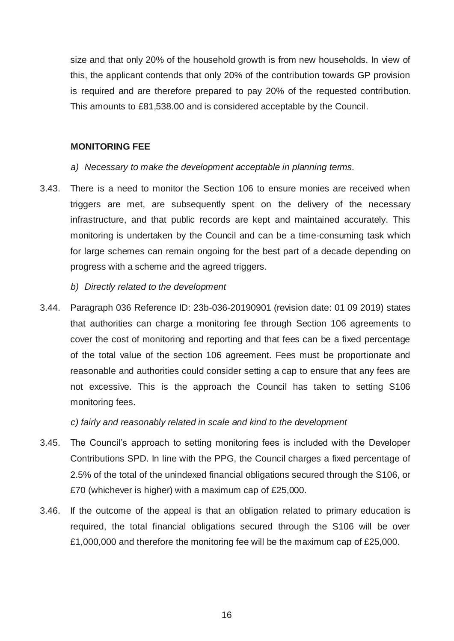size and that only 20% of the household growth is from new households. In view of this, the applicant contends that only 20% of the contribution towards GP provision is required and are therefore prepared to pay 20% of the requested contribution. This amounts to £81,538.00 and is considered acceptable by the Council.

#### **MONITORING FEE**

- *a) Necessary to make the development acceptable in planning terms.*
- 3.43. There is a need to monitor the Section 106 to ensure monies are received when triggers are met, are subsequently spent on the delivery of the necessary infrastructure, and that public records are kept and maintained accurately. This monitoring is undertaken by the Council and can be a time-consuming task which for large schemes can remain ongoing for the best part of a decade depending on progress with a scheme and the agreed triggers.
	- *b) Directly related to the development*
- 3.44. Paragraph 036 Reference ID: 23b-036-20190901 (revision date: 01 09 2019) states that authorities can charge a monitoring fee through Section 106 agreements to cover the cost of monitoring and reporting and that fees can be a fixed percentage of the total value of the section 106 agreement. Fees must be proportionate and reasonable and authorities could consider setting a cap to ensure that any fees are not excessive. This is the approach the Council has taken to setting S106 monitoring fees.

*c) fairly and reasonably related in scale and kind to the development*

- 3.45. The Council's approach to setting monitoring fees is included with the Developer Contributions SPD. In line with the PPG, the Council charges a fixed percentage of 2.5% of the total of the unindexed financial obligations secured through the S106, or £70 (whichever is higher) with a maximum cap of £25,000.
- 3.46. If the outcome of the appeal is that an obligation related to primary education is required, the total financial obligations secured through the S106 will be over £1,000,000 and therefore the monitoring fee will be the maximum cap of £25,000.